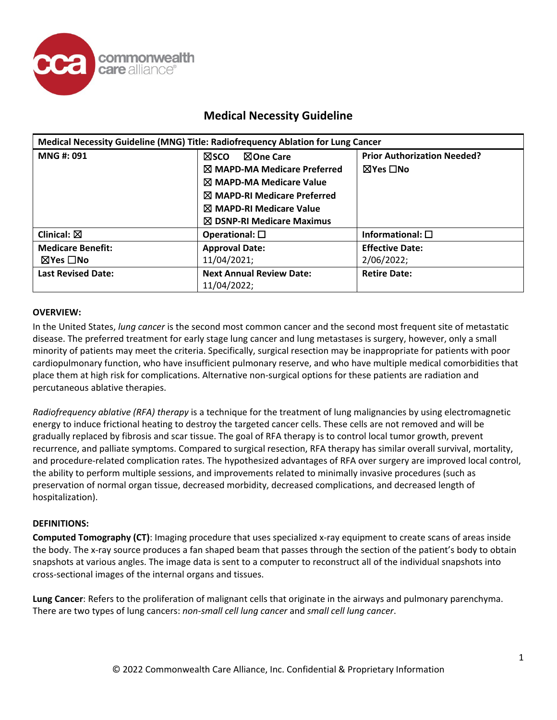

| Medical Necessity Guideline (MNG) Title: Radiofrequency Ablation for Lung Cancer |                                                |                                    |  |  |
|----------------------------------------------------------------------------------|------------------------------------------------|------------------------------------|--|--|
| MNG #: 091                                                                       | <b>NOne Care</b><br><b>NSCO</b>                | <b>Prior Authorization Needed?</b> |  |  |
|                                                                                  | $\boxtimes$ MAPD-MA Medicare Preferred         | ⊠Yes □No                           |  |  |
|                                                                                  | $\boxtimes$ MAPD-MA Medicare Value             |                                    |  |  |
|                                                                                  | $\boxtimes$ MAPD-RI Medicare Preferred         |                                    |  |  |
|                                                                                  | $\boxtimes$ MAPD-RI Medicare Value             |                                    |  |  |
|                                                                                  | $\boxtimes$ DSNP-RI Medicare Maximus           |                                    |  |  |
| Clinical: $\boxtimes$                                                            | Operational: $\square$                         | Informational: $\square$           |  |  |
| <b>Medicare Benefit:</b>                                                         | <b>Approval Date:</b>                          | <b>Effective Date:</b>             |  |  |
| $\boxtimes$ Yes $\Box$ No                                                        | 11/04/2021;                                    | 2/06/2022;                         |  |  |
| <b>Last Revised Date:</b>                                                        | <b>Next Annual Review Date:</b><br>11/04/2022; | <b>Retire Date:</b>                |  |  |

#### **OVERVIEW:**

In the United States, *lung cancer* is the second most common cancer and the second most frequent site of metastatic disease. The preferred treatment for early stage lung cancer and lung metastases is surgery, however, only a small minority of patients may meet the criteria. Specifically, surgical resection may be inappropriate for patients with poor cardiopulmonary function, who have insufficient pulmonary reserve, and who have multiple medical comorbidities that place them at high risk for complications. Alternative non-surgical options for these patients are radiation and percutaneous ablative therapies.

*Radiofrequency ablative (RFA) therapy* is a technique for the treatment of lung malignancies by using electromagnetic energy to induce frictional heating to destroy the targeted cancer cells. These cells are not removed and will be gradually replaced by fibrosis and scar tissue. The goal of RFA therapy is to control local tumor growth, prevent recurrence, and palliate symptoms. Compared to surgical resection, RFA therapy has similar overall survival, mortality, and procedure-related complication rates. The hypothesized advantages of RFA over surgery are improved local control, the ability to perform multiple sessions, and improvements related to minimally invasive procedures (such as preservation of normal organ tissue, decreased morbidity, decreased complications, and decreased length of hospitalization).

#### **DEFINITIONS:**

**Computed Tomography (CT)**: Imaging procedure that uses specialized x-ray equipment to create scans of areas inside the body. The x-ray source produces a fan shaped beam that passes through the section of the patient's body to obtain snapshots at various angles. The image data is sent to a computer to reconstruct all of the individual snapshots into cross-sectional images of the internal organs and tissues.

**Lung Cancer**: Refers to the proliferation of malignant cells that originate in the airways and pulmonary parenchyma. There are two types of lung cancers: *non-small cell lung cancer* and *small cell lung cancer*.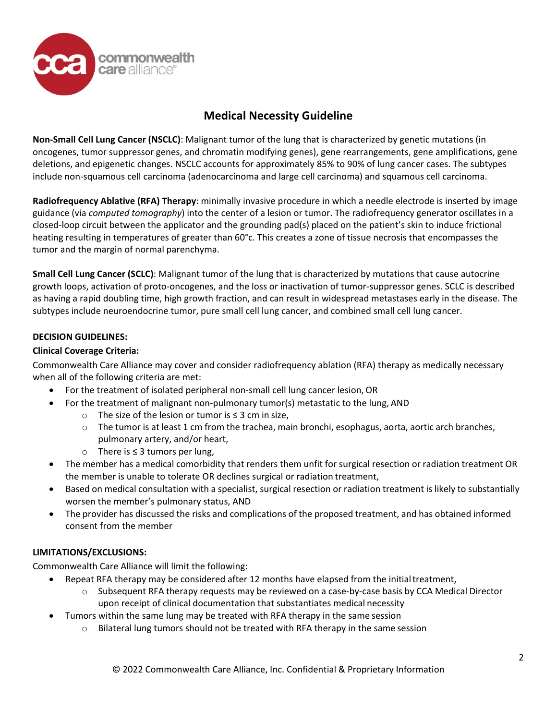

**Non-Small Cell Lung Cancer (NSCLC)**: Malignant tumor of the lung that is characterized by genetic mutations (in oncogenes, tumor suppressor genes, and chromatin modifying genes), gene rearrangements, gene amplifications, gene deletions, and epigenetic changes. NSCLC accounts for approximately 85% to 90% of lung cancer cases. The subtypes include non-squamous cell carcinoma (adenocarcinoma and large cell carcinoma) and squamous cell carcinoma.

**Radiofrequency Ablative (RFA) Therapy**: minimally invasive procedure in which a needle electrode is inserted by image guidance (via *computed tomography*) into the center of a lesion or tumor. The radiofrequency generator oscillates in a closed-loop circuit between the applicator and the grounding pad(s) placed on the patient's skin to induce frictional heating resulting in temperatures of greater than 60°c. This creates a zone of tissue necrosis that encompasses the tumor and the margin of normal parenchyma.

**Small Cell Lung Cancer (SCLC)**: Malignant tumor of the lung that is characterized by mutations that cause autocrine growth loops, activation of proto-oncogenes, and the loss or inactivation of tumor-suppressor genes. SCLC is described as having a rapid doubling time, high growth fraction, and can result in widespread metastases early in the disease. The subtypes include neuroendocrine tumor, pure small cell lung cancer, and combined small cell lung cancer.

### **DECISION GUIDELINES:**

#### **Clinical Coverage Criteria:**

Commonwealth Care Alliance may cover and consider radiofrequency ablation (RFA) therapy as medically necessary when all of the following criteria are met:

- For the treatment of isolated peripheral non-small cell lung cancer lesion, OR
- For the treatment of malignant non-pulmonary tumor(s) metastatic to the lung, AND
	- o The size of the lesion or tumor is ≤ 3 cm in size,
	- $\circ$  The tumor is at least 1 cm from the trachea, main bronchi, esophagus, aorta, aortic arch branches, pulmonary artery, and/or heart,
	- o There is ≤ 3 tumors per lung,
- The member has a medical comorbidity that renders them unfit for surgical resection or radiation treatment OR the member is unable to tolerate OR declines surgical or radiation treatment,
- Based on medical consultation with a specialist, surgical resection or radiation treatment is likely to substantially worsen the member's pulmonary status, AND
- The provider has discussed the risks and complications of the proposed treatment, and has obtained informed consent from the member

#### **LIMITATIONS/EXCLUSIONS:**

Commonwealth Care Alliance will limit the following:

- Repeat RFA therapy may be considered after 12 months have elapsed from the initial treatment,
	- $\circ$  Subsequent RFA therapy requests may be reviewed on a case-by-case basis by CCA Medical Director upon receipt of clinical documentation that substantiates medical necessity
- Tumors within the same lung may be treated with RFA therapy in the same session
	- $\circ$  Bilateral lung tumors should not be treated with RFA therapy in the same session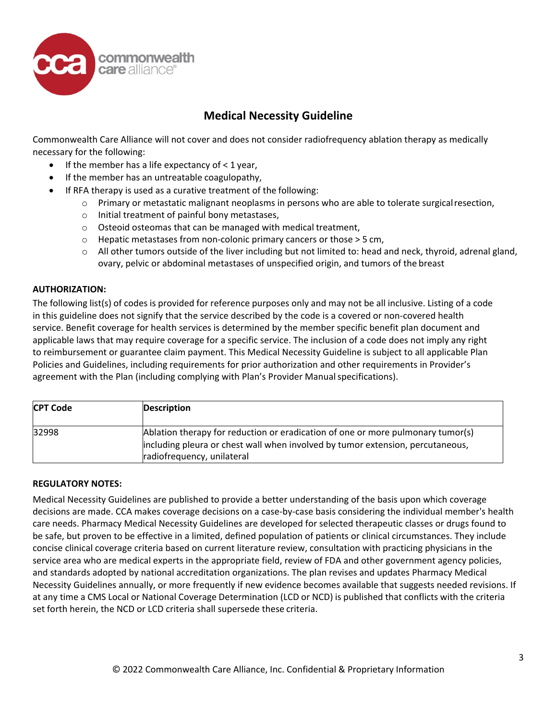

Commonwealth Care Alliance will not cover and does not consider radiofrequency ablation therapy as medically necessary for the following:

- $\bullet$  If the member has a life expectancy of  $\lt 1$  year,
- If the member has an untreatable coagulopathy,
	- If RFA therapy is used as a curative treatment of the following:
		- o Primary or metastatic malignant neoplasms in persons who are able to tolerate surgicalresection,
		- o Initial treatment of painful bony metastases,
		- o Osteoid osteomas that can be managed with medical treatment,
		- o Hepatic metastases from non-colonic primary cancers or those > 5 cm,
		- $\circ$  All other tumors outside of the liver including but not limited to: head and neck, thyroid, adrenal gland, ovary, pelvic or abdominal metastases of unspecified origin, and tumors of the breast

#### **AUTHORIZATION:**

The following list(s) of codes is provided for reference purposes only and may not be all inclusive. Listing of a code in this guideline does not signify that the service described by the code is a covered or non-covered health service. Benefit coverage for health services is determined by the member specific benefit plan document and applicable laws that may require coverage for a specific service. The inclusion of a code does not imply any right to reimbursement or guarantee claim payment. This Medical Necessity Guideline is subject to all applicable Plan Policies and Guidelines, including requirements for prior authorization and other requirements in Provider's agreement with the Plan (including complying with Plan's Provider Manual specifications).

| <b>CPT Code</b> | Description                                                                                                                                                                                     |
|-----------------|-------------------------------------------------------------------------------------------------------------------------------------------------------------------------------------------------|
| 32998           | Ablation therapy for reduction or eradication of one or more pulmonary tumor(s)<br>including pleura or chest wall when involved by tumor extension, percutaneous,<br>radiofrequency, unilateral |

#### **REGULATORY NOTES:**

Medical Necessity Guidelines are published to provide a better understanding of the basis upon which coverage decisions are made. CCA makes coverage decisions on a case-by-case basis considering the individual member's health care needs. Pharmacy Medical Necessity Guidelines are developed for selected therapeutic classes or drugs found to be safe, but proven to be effective in a limited, defined population of patients or clinical circumstances. They include concise clinical coverage criteria based on current literature review, consultation with practicing physicians in the service area who are medical experts in the appropriate field, review of FDA and other government agency policies, and standards adopted by national accreditation organizations. The plan revises and updates Pharmacy Medical Necessity Guidelines annually, or more frequently if new evidence becomes available that suggests needed revisions. If at any time a CMS Local or National Coverage Determination (LCD or NCD) is published that conflicts with the criteria set forth herein, the NCD or LCD criteria shall supersede these criteria.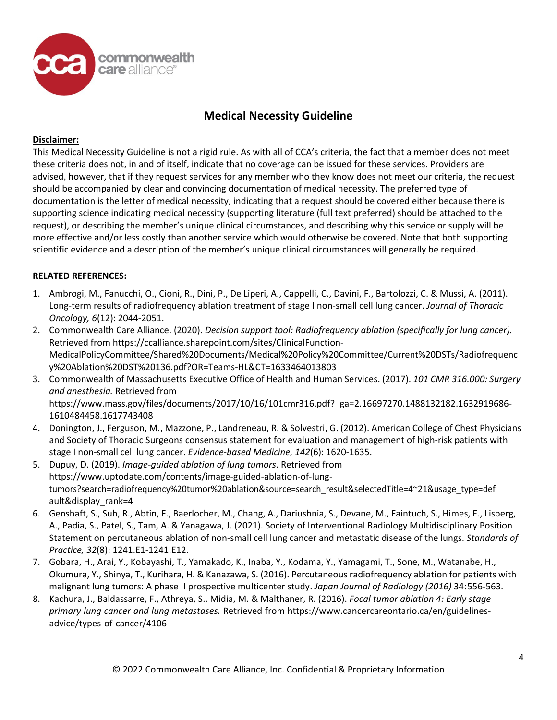

### **Disclaimer:**

This Medical Necessity Guideline is not a rigid rule. As with all of CCA's criteria, the fact that a member does not meet these criteria does not, in and of itself, indicate that no coverage can be issued for these services. Providers are advised, however, that if they request services for any member who they know does not meet our criteria, the request should be accompanied by clear and convincing documentation of medical necessity. The preferred type of documentation is the letter of medical necessity, indicating that a request should be covered either because there is supporting science indicating medical necessity (supporting literature (full text preferred) should be attached to the request), or describing the member's unique clinical circumstances, and describing why this service or supply will be more effective and/or less costly than another service which would otherwise be covered. Note that both supporting scientific evidence and a description of the member's unique clinical circumstances will generally be required.

### **RELATED REFERENCES:**

- 1. Ambrogi, M., Fanucchi, O., Cioni, R., Dini, P., De Liperi, A., Cappelli, C., Davini, F., Bartolozzi, C. & Mussi, A. (2011). Long-term results of radiofrequency ablation treatment of stage I non-small cell lung cancer. *Journal of Thoracic Oncology, 6*(12): 2044-2051.
- 2. Commonwealth Care Alliance. (2020). *Decision support tool: Radiofrequency ablation (specifically for lung cancer).*  Retrieved from https://ccalliance.sharepoint.com/sites/ClinicalFunction-MedicalPolicyCommittee/Shared%20Documents/Medical%20Policy%20Committee/Current%20DSTs/Radiofrequenc y%20Ablation%20DST%20136.pdf?OR=Teams-HL&CT=1633464013803
- 3. Commonwealth of Massachusetts Executive Office of Health and Human Services. (2017). *101 CMR 316.000: Surgery and anesthesia.* Retrieved from http[s://www.mass.gov/files/documents/2017/10/16/101cmr316.pdf?\\_ga=2.16697270.1488132182.1632919686](http://www.mass.gov/files/documents/2017/10/16/101cmr316.pdf?_ga=2.16697270.1488132182.1632919686-)-1610484458.1617743408
- 4. Donington, J., Ferguson, M., Mazzone, P., Landreneau, R. & Solvestri, G. (2012). American College of Chest Physicians and Society of Thoracic Surgeons consensus statement for evaluation and management of high-risk patients with stage I non-small cell lung cancer. *Evidence-based Medicine, 142*(6): 1620-1635.
- 5. Dupuy, D. (2019). *Image-guided ablation of lung tumors*. Retrieved from htt[ps://www.uptodate.com/contents/image-guided-ablation-of-lung](http://www.uptodate.com/contents/image-guided-ablation-of-lung-)tumors?search=radiofrequency%20tumor%20ablation&source=search\_result&selectedTitle=4~21&usage\_type=def ault&display\_rank=4
- 6. Genshaft, S., Suh, R., Abtin, F., Baerlocher, M., Chang, A., Dariushnia, S., Devane, M., Faintuch, S., Himes, E., Lisberg, A., Padia, S., Patel, S., Tam, A. & Yanagawa, J. (2021). Society of Interventional Radiology Multidisciplinary Position Statement on percutaneous ablation of non-small cell lung cancer and metastatic disease of the lungs. *Standards of Practice, 32*(8): 1241.E1-1241.E12.
- 7. Gobara, H., Arai, Y., Kobayashi, T., Yamakado, K., Inaba, Y., Kodama, Y., Yamagami, T., Sone, M., Watanabe, H., Okumura, Y., Shinya, T., Kurihara, H. & Kanazawa, S. (2016). Percutaneous radiofrequency ablation for patients with malignant lung tumors: A phase II prospective multicenter study. *Japan Journal of Radiology (2016)* 34:556-563.
- 8. Kachura, J., Baldassarre, F., Athreya, S., Midia, M. & Malthaner, R. (2016). *Focal tumor ablation 4: Early stage primary lung cancer and lung metastases.* Retrieved from htt[ps://www.cancercareontario.ca/en/guidelines](http://www.cancercareontario.ca/en/guidelines-)advice/types-of-cancer/4106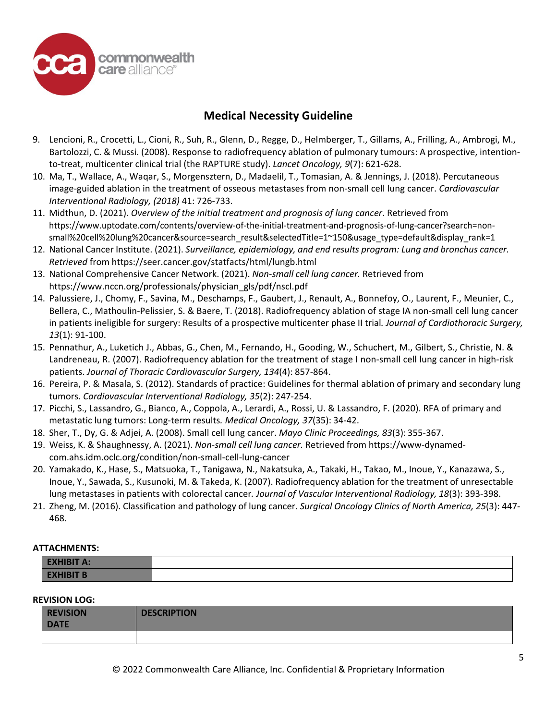

- 9. Lencioni, R., Crocetti, L., Cioni, R., Suh, R., Glenn, D., Regge, D., Helmberger, T., Gillams, A., Frilling, A., Ambrogi, M., Bartolozzi, C. & Mussi. (2008). Response to radiofrequency ablation of pulmonary tumours: A prospective, intentionto-treat, multicenter clinical trial (the RAPTURE study). *Lancet Oncology, 9*(7): 621-628.
- 10. Ma, T., Wallace, A., Waqar, S., Morgensztern, D., Madaelil, T., Tomasian, A. & Jennings, J. (2018). Percutaneous image-guided ablation in the treatment of osseous metastases from non-small cell lung cancer. *Cardiovascular Interventional Radiology, (2018)* 41: 726-733.
- 11. Midthun, D. (2021). *Overview of the initial treatment and prognosis of lung cancer*. Retrieved from htt[ps://www.uptodate.com/contents/overview-of-the-initial-treatment-and-prognosis-of-lung-](http://www.uptodate.com/contents/overview-of-the-initial-treatment-and-prognosis-of-lung-cancer?search=non-)cancer?search=nonsmall%20cell%20lung%20cancer&source=search\_result&selectedTitle=1~150&usage\_type=default&display\_rank=1
- 12. National Cancer Institute. (2021). *Surveillance, epidemiology, and end results program: Lung and bronchus cancer. Retrieved* from https://seer.cancer.gov/statfacts/html/lungb.html
- 13. National Comprehensive Cancer Network. (2021). *Non-small cell lung cancer.* Retrieved from htt[ps://www.nccn.org/professionals/p](http://www.nccn.org/professionals/physician_gls/pdf/nscl.pdf)hysician\_gls/pdf/nscl.pdf
- 14. Palussiere, J., Chomy, F., Savina, M., Deschamps, F., Gaubert, J., Renault, A., Bonnefoy, O., Laurent, F., Meunier, C., Bellera, C., Mathoulin-Pelissier, S. & Baere, T. (2018). Radiofrequency ablation of stage IA non-small cell lung cancer in patients ineligible for surgery: Results of a prospective multicenter phase II trial*. Journal of Cardiothoracic Surgery, 13*(1): 91-100.
- 15. Pennathur, A., Luketich J., Abbas, G., Chen, M., Fernando, H., Gooding, W., Schuchert, M., Gilbert, S., Christie, N. & Landreneau, R. (2007). Radiofrequency ablation for the treatment of stage I non-small cell lung cancer in high-risk patients. *Journal of Thoracic Cardiovascular Surgery, 134*(4): 857-864.
- 16. Pereira, P. & Masala, S. (2012). Standards of practice: Guidelines for thermal ablation of primary and secondary lung tumors. *Cardiovascular Interventional Radiology, 35*(2): 247-254.
- 17. Picchi, S., Lassandro, G., Bianco, A., Coppola, A., Lerardi, A., Rossi, U. & Lassandro, F. (2020). RFA of primary and metastatic lung tumors: Long-term results*. Medical Oncology, 37*(35): 34-42.
- 18. Sher, T., Dy, G. & Adjei, A. (2008). Small cell lung cancer. *Mayo Clinic Proceedings, 83*(3): 355-367.
- 19. Weiss, K. & Shaughnessy, A. (2021). *Non-small cell lung cancer.* Retrieved from https://www-dynamedcom.ahs.idm.oclc.org/condition/non-small-cell-lung-cancer
- 20. Yamakado, K., Hase, S., Matsuoka, T., Tanigawa, N., Nakatsuka, A., Takaki, H., Takao, M., Inoue, Y., Kanazawa, S., Inoue, Y., Sawada, S., Kusunoki, M. & Takeda, K. (2007). Radiofrequency ablation for the treatment of unresectable lung metastases in patients with colorectal cancer*. Journal of Vascular Interventional Radiology, 18*(3): 393-398.
- 21. Zheng, M. (2016). Classification and pathology of lung cancer. *Surgical Oncology Clinics of North America, 25*(3): 447- 468.

#### **ATTACHMENTS:**

| LAIUDII A. |  |
|------------|--|
| --------   |  |

#### **REVISION LOG:**

| <b>REVISION</b><br><b>DATE</b> | <b>DESCRIPTION</b> |
|--------------------------------|--------------------|
|                                |                    |